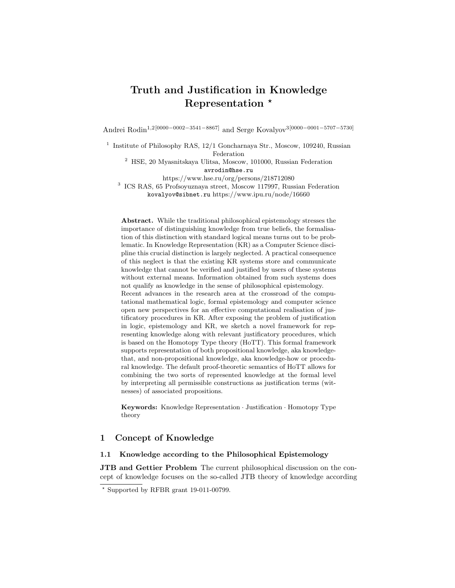# Truth and Justification in Knowledge Representation  $*$

Andrei Rodin1,2[0000−0002−3541−8867] and Serge Kovalyov3[0000−0001−5707−5730]

<sup>1</sup> Institute of Philosophy RAS, 12/1 Goncharnaya Str., Moscow, 109240, Russian Federation

<sup>2</sup> HSE, 20 Myasnitskaya Ulitsa, Moscow, 101000, Russian Federation avrodin@hse.ru

https://www.hse.ru/org/persons/218712080

3 ICS RAS, 65 Profsoyuznaya street, Moscow 117997, Russian Federation kovalyov@sibnet.ru https://www.ipu.ru/node/16660

Abstract. While the traditional philosophical epistemology stresses the importance of distinguishing knowledge from true beliefs, the formalisation of this distinction with standard logical means turns out to be problematic. In Knowledge Representation (KR) as a Computer Science discipline this crucial distinction is largely neglected. A practical consequence of this neglect is that the existing KR systems store and communicate knowledge that cannot be verified and justified by users of these systems without external means. Information obtained from such systems does not qualify as knowledge in the sense of philosophical epistemology. Recent advances in the research area at the crossroad of the computational mathematical logic, formal epistemology and computer science open new perspectives for an effective computational realisation of justificatory procedures in KR. After exposing the problem of justification in logic, epistemology and KR, we sketch a novel framework for representing knowledge along with relevant justificatory procedures, which is based on the Homotopy Type theory (HoTT). This formal framework supports representation of both propositional knowledge, aka knowledgethat, and non-propositional knowledge, aka knowledge-how or procedural knowledge. The default proof-theoretic semantics of HoTT allows for combining the two sorts of represented knowledge at the formal level by interpreting all permissible constructions as justification terms (witnesses) of associated propositions.

Keywords: Knowledge Representation · Justification · Homotopy Type theory

## 1 Concept of Knowledge

#### 1.1 Knowledge according to the Philosophical Epistemology

JTB and Gettier Problem The current philosophical discussion on the concept of knowledge focuses on the so-called JTB theory of knowledge according

 $*$  Supported by RFBR grant 19-011-00799.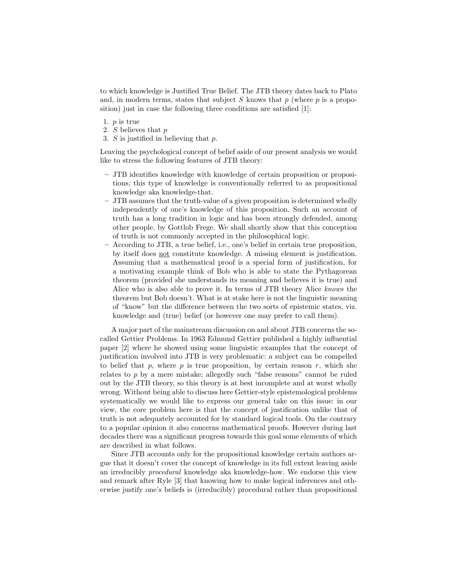to which knowledge is Justified True Belief. The JTB theory dates back to Plato and, in modern terms, states that subject  $S$  knows that  $p$  (where  $p$  is a proposition) just in case the following three conditions are satisfied [1]:

- 1.  $p$  is true
- 2. S believes that p
- 3. S is justified in believing that p.

Leaving the psychological concept of belief aside of our present analysis we would like to stress the following features of JTB theory:

- JTB identifies knowledge with knowledge of certain proposition or propositions; this type of knowledge is conventionally referred to as propositional knowledge aka knowledge-that.
- JTB assumes that the truth-value of a given proposition is determined wholly independently of one's knowledge of this proposition. Such an account of truth has a long tradition in logic and has been strongly defended, among other people, by Gottlob Frege. We shall shortly show that this conception of truth is not commonly accepted in the philosophical logic.
- According to JTB, a true belief, i.e., one's belief in certain true proposition, by itself does not constitute knowledge. A missing element is justification. Assuming that a mathematical proof is a special form of justification, for a motivating example think of Bob who is able to state the Pythagorean theorem (provided she understands its meaning and believes it is true) and Alice who is also able to prove it. In terms of JTB theory Alice knows the theorem but Bob doesn't. What is at stake here is not the linguistic meaning of "know" but the difference between the two sorts of epistemic states, viz. knowledge and (true) belief (or however one may prefer to call them).

A major part of the mainstream discussion on and about JTB concerns the socalled Gettier Problems. In 1963 Edmund Gettier published a highly influential paper [2] where he showed using some linguistic examples that the concept of justification involved into JTB is very problematic: a subject can be compelled to belief that p, where p is true proposition, by certain reason r, which she relates to  $p$  by a mere mistake; allegedly such "false reasons" cannot be ruled out by the JTB theory, so this theory is at best incomplete and at worst wholly wrong. Without being able to discuss here Gettier-style epistemological problems systematically we would like to express our general take on this issue: in our view, the core problem here is that the concept of justification unlike that of truth is not adequately accounted for by standard logical tools. On the contrary to a popular opinion it also concerns mathematical proofs. However during last decades there was a significant progress towards this goal some elements of which are described in what follows.

Since JTB accounts only for the propositional knowledge certain authors argue that it doesn't cover the concept of knowledge in its full extent leaving aside an irreducibly procedural knowledge aka knowledge-how. We endorse this view and remark after Ryle [3] that knowing how to make logical inferences and otherwise justify one's beliefs is (irreducibly) procedural rather than propositional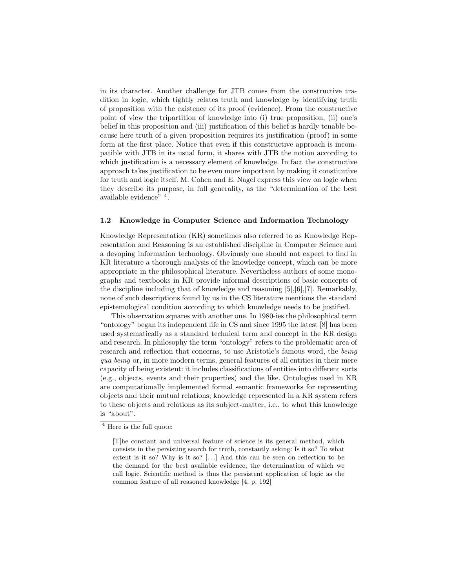in its character. Another challenge for JTB comes from the constructive tradition in logic, which tightly relates truth and knowledge by identifying truth of proposition with the existence of its proof (evidence). From the constructive point of view the tripartition of knowledge into (i) true proposition, (ii) one's belief in this proposition and (iii) justification of this belief is hardly tenable because here truth of a given proposition requires its justification (proof) in some form at the first place. Notice that even if this constructive approach is incompatible with JTB in its usual form, it shares with JTB the notion according to which justification is a necessary element of knowledge. In fact the constructive approach takes justification to be even more important by making it constitutive for truth and logic itself. M. Cohen and E. Nagel express this view on logic when they describe its purpose, in full generality, as the "determination of the best available evidence" <sup>4</sup> .

#### 1.2 Knowledge in Computer Science and Information Technology

Knowledge Representation (KR) sometimes also referred to as Knowledge Representation and Reasoning is an established discipline in Computer Science and a devoping information technology. Obviously one should not expect to find in KR literature a thorough analysis of the knowledge concept, which can be more appropriate in the philosophical literature. Nevertheless authors of some monographs and textbooks in KR provide informal descriptions of basic concepts of the discipline including that of knowledge and reasoning [5],[6],[7]. Remarkably, none of such descriptions found by us in the CS literature mentions the standard epistemological condition according to which knowledge needs to be justified.

This observation squares with another one. In 1980-ies the philosophical term "ontology" began its independent life in CS and since 1995 the latest [8] has been used systematically as a standard technical term and concept in the KR design and research. In philosophy the term "ontology" refers to the problematic area of research and reflection that concerns, to use Aristotle's famous word, the being qua being or, in more modern terms, general features of all entities in their mere capacity of being existent: it includes classifications of entities into different sorts (e.g., objects, events and their properties) and the like. Ontologies used in KR are computationally implemented formal semantic frameworks for representing objects and their mutual relations; knowledge represented in a KR system refers to these objects and relations as its subject-matter, i.e., to what this knowledge is "about".

<sup>4</sup> Here is the full quote:

<sup>[</sup>T]he constant and universal feature of science is its general method, which consists in the persisting search for truth, constantly asking: Is it so? To what extent is it so? Why is it so? [...] And this can be seen on reflection to be the demand for the best available evidence, the determination of which we call logic. Scientific method is thus the persistent application of logic as the common feature of all reasoned knowledge [4, p. 192]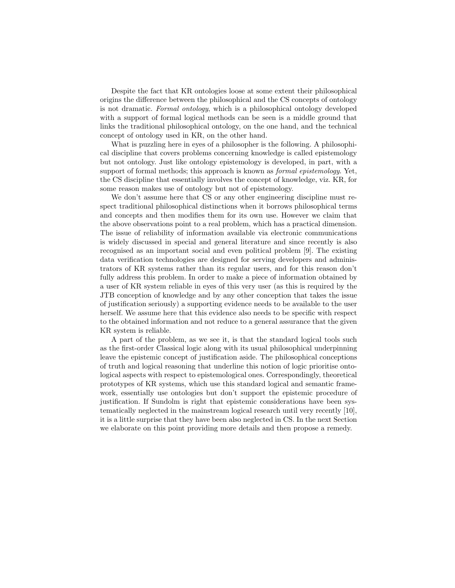Despite the fact that KR ontologies loose at some extent their philosophical origins the difference between the philosophical and the CS concepts of ontology is not dramatic. Formal ontology, which is a philosophical ontology developed with a support of formal logical methods can be seen is a middle ground that links the traditional philosophical ontology, on the one hand, and the technical concept of ontology used in KR, on the other hand.

What is puzzling here in eyes of a philosopher is the following. A philosophical discipline that covers problems concerning knowledge is called epistemology but not ontology. Just like ontology epistemology is developed, in part, with a support of formal methods; this approach is known as *formal epistemology*. Yet, the CS discipline that essentially involves the concept of knowledge, viz. KR, for some reason makes use of ontology but not of epistemology.

We don't assume here that CS or any other engineering discipline must respect traditional philosophical distinctions when it borrows philosophical terms and concepts and then modifies them for its own use. However we claim that the above observations point to a real problem, which has a practical dimension. The issue of reliability of information available via electronic communications is widely discussed in special and general literature and since recently is also recognised as an important social and even political problem [9]. The existing data verification technologies are designed for serving developers and administrators of KR systems rather than its regular users, and for this reason don't fully address this problem. In order to make a piece of information obtained by a user of KR system reliable in eyes of this very user (as this is required by the JTB conception of knowledge and by any other conception that takes the issue of justification seriously) a supporting evidence needs to be available to the user herself. We assume here that this evidence also needs to be specific with respect to the obtained information and not reduce to a general assurance that the given KR system is reliable.

A part of the problem, as we see it, is that the standard logical tools such as the first-order Classical logic along with its usual philosophical underpinning leave the epistemic concept of justification aside. The philosophical conceptions of truth and logical reasoning that underline this notion of logic prioritise ontological aspects with respect to epistemological ones. Correspondingly, theoretical prototypes of KR systems, which use this standard logical and semantic framework, essentially use ontologies but don't support the epistemic procedure of justification. If Sundolm is right that epistemic considerations have been systematically neglected in the mainstream logical research until very recently [10], it is a little surprise that they have been also neglected in CS. In the next Section we elaborate on this point providing more details and then propose a remedy.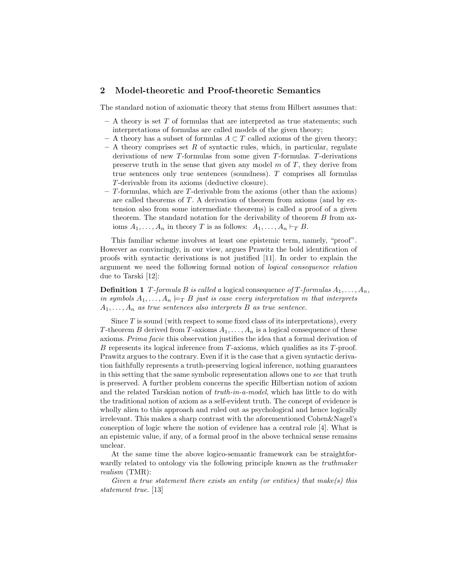## 2 Model-theoretic and Proof-theoretic Semantics

The standard notion of axiomatic theory that stems from Hilbert assumes that:

- $-$  A theory is set T of formulas that are interpreted as true statements; such interpretations of formulas are called models of the given theory;
- A theory has a subset of formulas  $A ⊂ T$  called axioms of the given theory;
- $-$  A theory comprises set R of syntactic rules, which, in particular, regulate derivations of new T-formulas from some given T-formulas. T-derivations preserve truth in the sense that given any model  $m$  of  $T$ , they derive from true sentences only true sentences (soundness). T comprises all formulas T-derivable from its axioms (deductive closure).
- $-$  T-formulas, which are T-derivable from the axioms (other than the axioms) are called theorems of T. A derivation of theorem from axioms (and by extension also from some intermediate theorems) is called a proof of a given theorem. The standard notation for the derivability of theorem  $B$  from axioms  $A_1, \ldots, A_n$  in theory T is as follows:  $A_1, \ldots, A_n \vdash_T B$ .

This familiar scheme involves at least one epistemic term, namely, "proof". However as convincingly, in our view, argues Prawitz the bold identification of proofs with syntactic derivations is not justified [11]. In order to explain the argument we need the following formal notion of logical consequence relation due to Tarski [12]:

**Definition 1** T-formula B is called a logical consequence of T-formulas  $A_1, \ldots, A_n$ , in symbols  $A_1, \ldots, A_n \models_T B$  just is case every interpretation m that interprets  $A_1, \ldots, A_n$  as true sentences also interprets B as true sentence.

Since  $T$  is sound (with respect to some fixed class of its interpretations), every T-theorem B derived from T-axioms  $A_1, \ldots, A_n$  is a logical consequence of these axioms. Prima facie this observation justifies the idea that a formal derivation of B represents its logical inference from  $T$ -axioms, which qualifies as its  $T$ -proof. Prawitz argues to the contrary. Even if it is the case that a given syntactic derivation faithfully represents a truth-preserving logical inference, nothing guarantees in this setting that the same symbolic representation allows one to see that truth is preserved. A further problem concerns the specific Hilbertian notion of axiom and the related Tarskian notion of truth-in-a-model, which has little to do with the traditional notion of axiom as a self-evident truth. The concept of evidence is wholly alien to this approach and ruled out as psychological and hence logically irrelevant. This makes a sharp contrast with the aforementioned Cohen&Nagel's conception of logic where the notion of evidence has a central role [4]. What is an epistemic value, if any, of a formal proof in the above technical sense remains unclear.

At the same time the above logico-semantic framework can be straightforwardly related to ontology via the following principle known as the *truthmaker* realism (TMR):

Given a true statement there exists an entity (or entities) that make(s) this statement true. [13]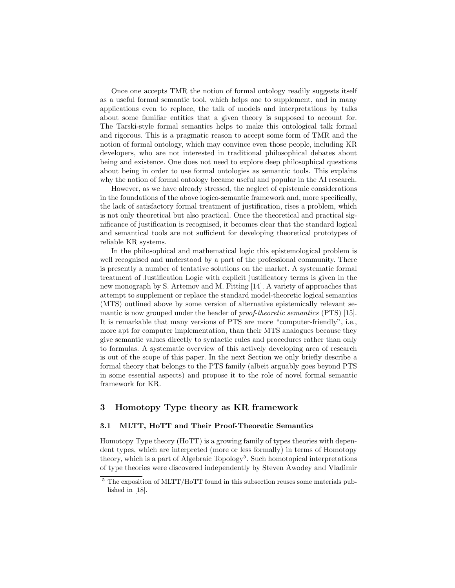Once one accepts TMR the notion of formal ontology readily suggests itself as a useful formal semantic tool, which helps one to supplement, and in many applications even to replace, the talk of models and interpretations by talks about some familiar entities that a given theory is supposed to account for. The Tarski-style formal semantics helps to make this ontological talk formal and rigorous. This is a pragmatic reason to accept some form of TMR and the notion of formal ontology, which may convince even those people, including KR developers, who are not interested in traditional philosophical debates about being and existence. One does not need to explore deep philosophical questions about being in order to use formal ontologies as semantic tools. This explains why the notion of formal ontology became useful and popular in the AI research.

However, as we have already stressed, the neglect of epistemic considerations in the foundations of the above logico-semantic framework and, more specifically, the lack of satisfactory formal treatment of justification, rises a problem, which is not only theoretical but also practical. Once the theoretical and practical significance of justification is recognised, it becomes clear that the standard logical and semantical tools are not sufficient for developing theoretical prototypes of reliable KR systems.

In the philosophical and mathematical logic this epistemological problem is well recognised and understood by a part of the professional community. There is presently a number of tentative solutions on the market. A systematic formal treatment of Justification Logic with explicit justificatory terms is given in the new monograph by S. Artemov and M. Fitting [14]. A variety of approaches that attempt to supplement or replace the standard model-theoretic logical semantics (MTS) outlined above by some version of alternative epistemically relevant semantic is now grouped under the header of *proof-theoretic semantics* (PTS) [15]. It is remarkable that many versions of PTS are more "computer-friendly", i.e., more apt for computer implementation, than their MTS analogues because they give semantic values directly to syntactic rules and procedures rather than only to formulas. A systematic overview of this actively developing area of research is out of the scope of this paper. In the next Section we only briefly describe a formal theory that belongs to the PTS family (albeit arguably goes beyond PTS in some essential aspects) and propose it to the role of novel formal semantic framework for KR.

## 3 Homotopy Type theory as KR framework

#### 3.1 MLTT, HoTT and Their Proof-Theoretic Semantics

Homotopy Type theory (HoTT) is a growing family of types theories with dependent types, which are interpreted (more or less formally) in terms of Homotopy theory, which is a part of Algebraic Topology<sup>5</sup>. Such homotopical interpretations of type theories were discovered independently by Steven Awodey and Vladimir

<sup>5</sup> The exposition of MLTT/HoTT found in this subsection reuses some materials published in [18].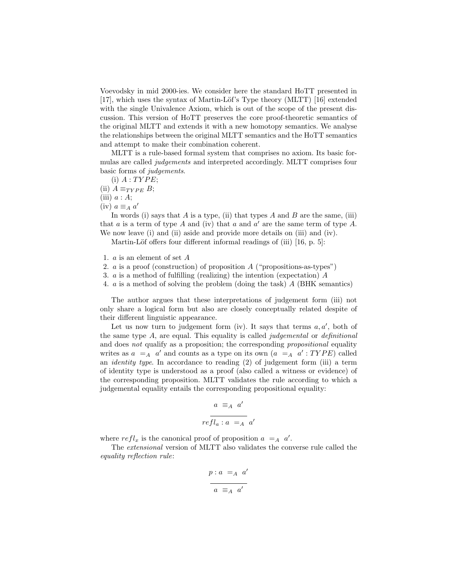Voevodsky in mid 2000-ies. We consider here the standard HoTT presented in [17], which uses the syntax of Martin-Löf's Type theory (MLTT) [16] extended with the single Univalence Axiom, which is out of the scope of the present discussion. This version of HoTT preserves the core proof-theoretic semantics of the original MLTT and extends it with a new homotopy semantics. We analyse the relationships between the original MLTT semantics and the HoTT semantics and attempt to make their combination coherent.

MLTT is a rule-based formal system that comprises no axiom. Its basic formulas are called *judgements* and interpreted accordingly. MLTT comprises four basic forms of judgements.

- (i)  $A:TYPE;$
- (ii)  $A \equiv_{T Y P E} B;$
- (iii)  $a : A;$
- (iv)  $a \equiv_A a'$

In words (i) says that A is a type, (ii) that types A and B are the same, (iii) that  $a$  is a term of type  $A$  and (iv) that  $a$  and  $a'$  are the same term of type  $A$ . We now leave (i) and (ii) aside and provide more details on (iii) and (iv).

Martin-Löf offers four different informal readings of (iii)  $[16, p. 5]$ :

- 1. a is an element of set A
- 2. a is a proof (construction) of proposition  $A$  ("propositions-as-types")
- 3. a is a method of fulfilling (realizing) the intention (expectation) A
- 4. a is a method of solving the problem (doing the task) A (BHK semantics)

The author argues that these interpretations of judgement form (iii) not only share a logical form but also are closely conceptually related despite of their different linguistic appearance.

Let us now turn to judgement form (iv). It says that terms  $a, a'$ , both of the same type  $A$ , are equal. This equality is called *judgemental* or *definitional* and does not qualify as a proposition; the corresponding *propositional* equality writes as  $a = A$  a' and counts as a type on its own  $(a = A \ a' : TYPE)$  called an identity type. In accordance to reading (2) of judgement form (iii) a term of identity type is understood as a proof (also called a witness or evidence) of the corresponding proposition. MLTT validates the rule according to which a judgemental equality entails the corresponding propositional equality:

$$
a \equiv_A a'
$$
  

$$
\overline{refl_a: a} =_A a'
$$

where  $refl_x$  is the canonical proof of proposition  $a = A$  a'.

The extensional version of MLTT also validates the converse rule called the equality reflection rule:

$$
p: a =_A a'
$$
  

$$
a \equiv_A a'
$$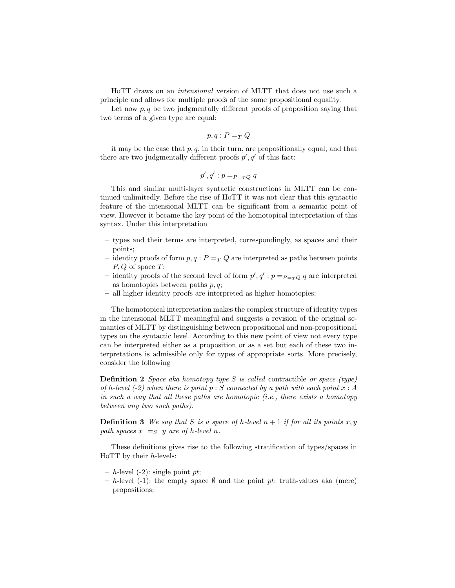HoTT draws on an intensional version of MLTT that does not use such a principle and allows for multiple proofs of the same propositional equality.

Let now  $p, q$  be two judgmentally different proofs of proposition saying that two terms of a given type are equal:

$$
p, q : P =_T Q
$$

it may be the case that  $p, q$ , in their turn, are propositionally equal, and that there are two judgmentally different proofs  $p', q'$  of this fact:

$$
p', q' : p =_{P = TQ} q
$$

This and similar multi-layer syntactic constructions in MLTT can be continued unlimitedly. Before the rise of HoTT it was not clear that this syntactic feature of the intensional MLTT can be significant from a semantic point of view. However it became the key point of the homotopical interpretation of this syntax. Under this interpretation

- types and their terms are interpreted, correspondingly, as spaces and their points;
- identity proofs of form  $p, q: P =_T Q$  are interpreted as paths between points  $P, Q$  of space  $T$ ;
- identity proofs of the second level of form  $p', q' : p =_{P = TQ} q$  are interpreted as homotopies between paths  $p, q$ ;
- all higher identity proofs are interpreted as higher homotopies;

The homotopical interpretation makes the complex structure of identity types in the intensional MLTT meaningful and suggests a revision of the original semantics of MLTT by distinguishing between propositional and non-propositional types on the syntactic level. According to this new point of view not every type can be interpreted either as a proposition or as a set but each of these two interpretations is admissible only for types of appropriate sorts. More precisely, consider the following

**Definition 2** Space aka homotopy type S is called contractible or space (type) of h-level  $(-2)$  when there is point  $p : S$  connected by a path with each point  $x : A$ in such a way that all these paths are homotopic (i.e., there exists a homotopy between any two such paths).

**Definition 3** We say that S is a space of h-level  $n + 1$  if for all its points x, y path spaces  $x =_S y$  are of h-level n.

These definitions gives rise to the following stratification of types/spaces in HoTT by their h-levels:

- $h$ -level (-2): single point pt;
- h-level (-1): the empty space  $\emptyset$  and the point pt: truth-values aka (mere) propositions;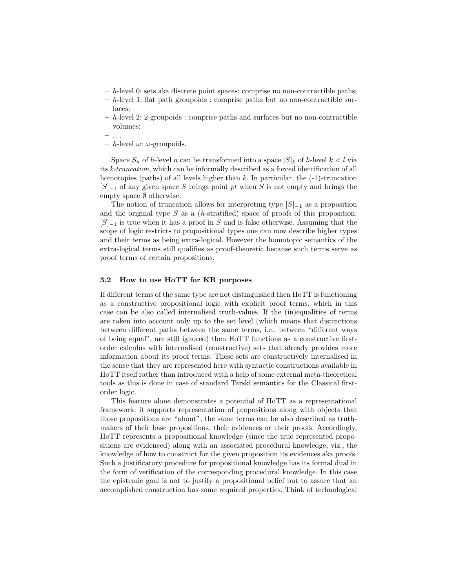- $h$ -level 0: sets aka discrete point spaces: comprise no non-contractible paths;
- $h$ -level 1: flat path groupoids : comprise paths but no non-contractible surfaces;
- h-level 2: 2-groupoids : comprise paths and surfaces but no non-contractible volumes;
- . . .
- h-level  $\omega$ :  $\omega$ -groupoids.

Space  $S_n$  of h-level n can be transformed into a space  $[S]_k$  of h-level  $k < l$  via its k-truncation, which can be informally described as a forced identification of all homotopies (paths) of all levels higher than  $k$ . In particular, the  $(-1)$ -truncation  $[S]_{-1}$  of any given space S brings point pt when S is not empty and brings the empty space  $\emptyset$  otherwise.

The notion of truncation allows for interpreting type  $[S]_{-1}$  as a proposition and the original type  $S$  as a (h-stratified) space of proofs of this proposition:  $[S]_{-1}$  is true when it has a proof in S and is false otherwise. Assuming that the scope of logic restricts to propositional types one can now describe higher types and their terms as being extra-logical. However the homotopic semantics of the extra-logical terms still qualifies as proof-theoretic because such terms serve as proof terms of certain propositions.

#### 3.2 How to use HoTT for KR purposes

If different terms of the same type are not distinguished then HoTT is functioning as a constructive propositional logic with explicit proof terms, which in this case can be also called internalised truth-values. If the (in)equalities of terms are taken into account only up to the set level (which means that distinctions between different paths between the same terms, i.e., between "different ways of being equal", are still ignored) then HoTT functions as a constructive firstorder calculus with internalised (constructive) sets that already provides more information about its proof terms. These sets are constructively internalised in the sense that they are represented here with syntactic constructions available in HoTT itself rather than introduced with a help of some external meta-theoretical tools as this is done in case of standard Tarski semantics for the Classical firstorder logic.

This feature alone demonstrates a potential of HoTT as a representational framework: it supports representation of propositions along with objects that those propositions are "about"; the same terms can be also described as truthmakers of their base propositions, their evidences or their proofs. Accordingly, HoTT represents a propositional knowledge (since the true represented propositions are evidenced) along with an associated procedural knowledge, viz., the knowledge of how to construct for the given proposition its evidences aka proofs. Such a justificatory procedure for propositional knowledge has its formal dual in the form of verification of the corresponding procedural knowledge. In this case the epistemic goal is not to justify a propositional belief but to assure that an accomplished construction has some required properties. Think of technological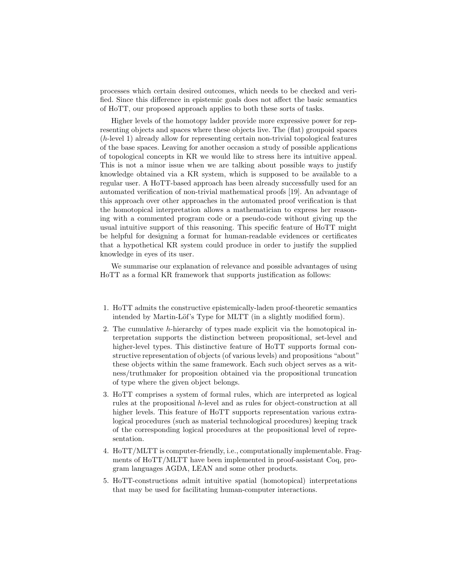processes which certain desired outcomes, which needs to be checked and verified. Since this difference in epistemic goals does not affect the basic semantics of HoTT, our proposed approach applies to both these sorts of tasks.

Higher levels of the homotopy ladder provide more expressive power for representing objects and spaces where these objects live. The (flat) groupoid spaces (h-level 1) already allow for representing certain non-trivial topological features of the base spaces. Leaving for another occasion a study of possible applications of topological concepts in KR we would like to stress here its intuitive appeal. This is not a minor issue when we are talking about possible ways to justify knowledge obtained via a KR system, which is supposed to be available to a regular user. A HoTT-based approach has been already successfully used for an automated verification of non-trivial mathematical proofs [19]. An advantage of this approach over other approaches in the automated proof verification is that the homotopical interpretation allows a mathematician to express her reasoning with a commented program code or a pseudo-code without giving up the usual intuitive support of this reasoning. This specific feature of HoTT might be helpful for designing a format for human-readable evidences or certificates that a hypothetical KR system could produce in order to justify the supplied knowledge in eyes of its user.

We summarise our explanation of relevance and possible advantages of using HoTT as a formal KR framework that supports justification as follows:

- 1. HoTT admits the constructive epistemically-laden proof-theoretic semantics intended by Martin-Löf's Type for MLTT (in a slightly modified form).
- 2. The cumulative h-hierarchy of types made explicit via the homotopical interpretation supports the distinction between propositional, set-level and higher-level types. This distinctive feature of HoTT supports formal constructive representation of objects (of various levels) and propositions "about" these objects within the same framework. Each such object serves as a witness/truthmaker for proposition obtained via the propositional truncation of type where the given object belongs.
- 3. HoTT comprises a system of formal rules, which are interpreted as logical rules at the propositional h-level and as rules for object-construction at all higher levels. This feature of HoTT supports representation various extralogical procedures (such as material technological procedures) keeping track of the corresponding logical procedures at the propositional level of representation.
- 4. HoTT/MLTT is computer-friendly, i.e., computationally implementable. Fragments of HoTT/MLTT have been implemented in proof-assistant Coq, program languages AGDA, LEAN and some other products.
- 5. HoTT-constructions admit intuitive spatial (homotopical) interpretations that may be used for facilitating human-computer interactions.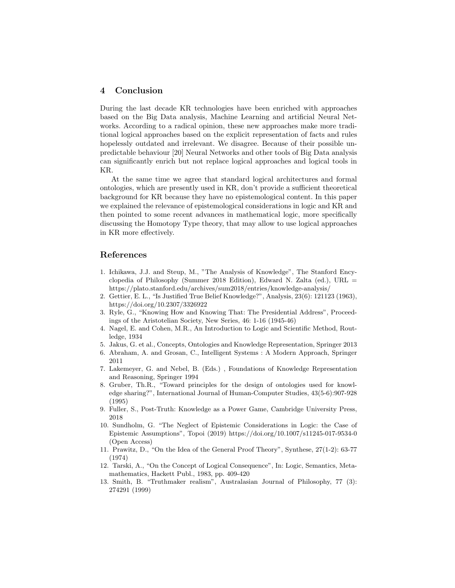## 4 Conclusion

During the last decade KR technologies have been enriched with approaches based on the Big Data analysis, Machine Learning and artificial Neural Networks. According to a radical opinion, these new approaches make more traditional logical approaches based on the explicit representation of facts and rules hopelessly outdated and irrelevant. We disagree. Because of their possible unpredictable behaviour [20] Neural Networks and other tools of Big Data analysis can significantly enrich but not replace logical approaches and logical tools in KR.

At the same time we agree that standard logical architectures and formal ontologies, which are presently used in KR, don't provide a sufficient theoretical background for KR because they have no epistemological content. In this paper we explained the relevance of epistemological considerations in logic and KR and then pointed to some recent advances in mathematical logic, more specifically discussing the Homotopy Type theory, that may allow to use logical approaches in KR more effectively.

## References

- 1. Ichikawa, J.J. and Steup, M., "The Analysis of Knowledge", The Stanford Encyclopedia of Philosophy (Summer 2018 Edition), Edward N. Zalta (ed.), URL  $=$ https://plato.stanford.edu/archives/sum2018/entries/knowledge-analysis/
- 2. Gettier, E. L., "Is Justified True Belief Knowledge?", Analysis, 23(6): 121123 (1963), https://doi.org/10.2307/3326922
- 3. Ryle, G., "Knowing How and Knowing That: The Presidential Address", Proceedings of the Aristotelian Society, New Series, 46: 1-16 (1945-46)
- 4. Nagel, E. and Cohen, M.R., An Introduction to Logic and Scientific Method, Routledge, 1934
- 5. Jakus, G. et al., Concepts, Ontologies and Knowledge Representation, Springer 2013
- 6. Abraham, A. and Grosan, C., Intelligent Systems : A Modern Approach, Springer 2011
- 7. Lakemeyer, G. and Nebel, B. (Eds.) , Foundations of Knowledge Representation and Reasoning, Springer 1994
- 8. Gruber, Th.R., "Toward principles for the design of ontologies used for knowledge sharing?", International Journal of Human-Computer Studies, 43(5-6):907-928 (1995)
- 9. Fuller, S., Post-Truth: Knowledge as a Power Game, Cambridge University Press, 2018
- 10. Sundholm, G. "The Neglect of Epistemic Considerations in Logic: the Case of Epistemic Assumptions", Topoi (2019) https://doi.org/10.1007/s11245-017-9534-0 (Open Access)
- 11. Prawitz, D., "On the Idea of the General Proof Theory", Synthese, 27(1-2): 63-77 (1974)
- 12. Tarski, A., "On the Concept of Logical Consequence", In: Logic, Semantics, Metamathematics, Hackett Publ., 1983, pp. 409-420
- 13. Smith, B. "Truthmaker realism", Australasian Journal of Philosophy, 77 (3): 274291 (1999)